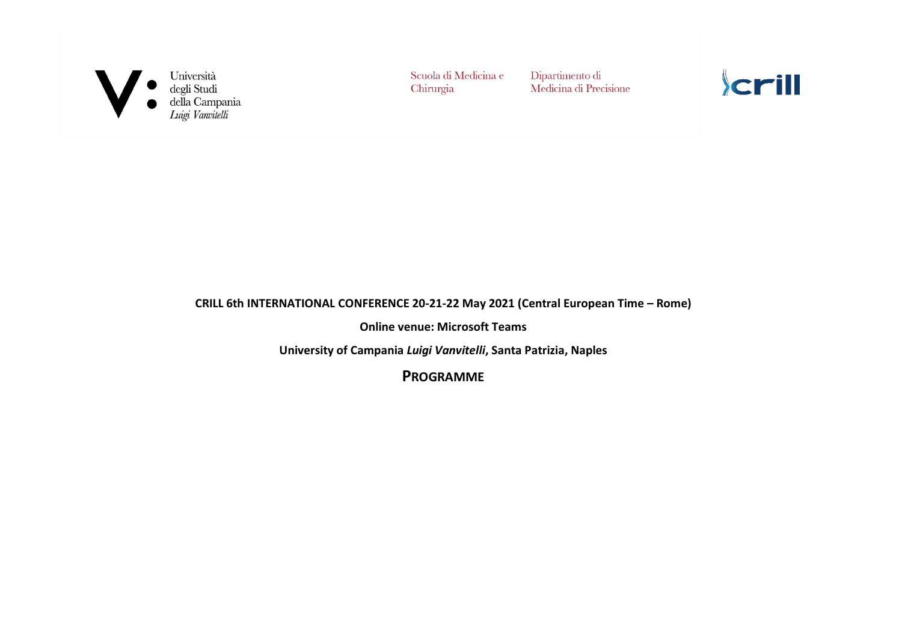

Università<br>degli Studi<br>della Campania<br>*Luigi Vanvitelli* 

Scuola di Medicina e Chirurgia

Dipartimento di Medicina di Precisione kcrill

#### **CRILL 6th INTERNATIONAL CONFERENCE 20-21-22 May 2021 (Central European Time – Rome)**

**Online venue: Microsoft Teams**

**University of Campania** *Luigi Vanvitelli***, Santa Patrizia, Naples**

**PROGRAMME**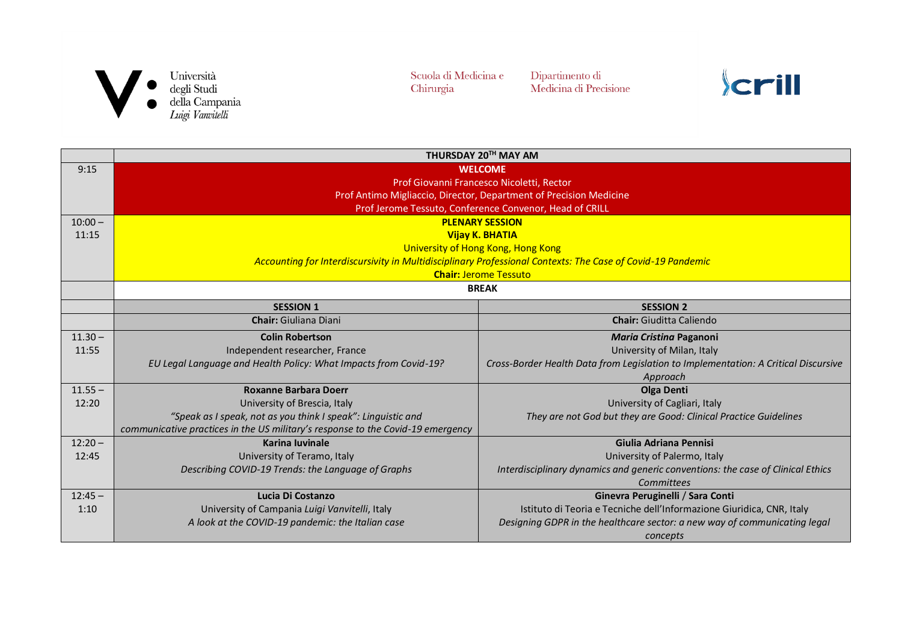

Università<br>degli Studi<br>della Campania<br>*Luigi Vanvitelli* 

Scuola di Medicina e Chirurgia

Dipartimento di<br>Medicina di Precisione



|           |                                                                                                            | THURSDAY 20TH MAY AM                                                               |  |  |  |
|-----------|------------------------------------------------------------------------------------------------------------|------------------------------------------------------------------------------------|--|--|--|
| 9:15      | <b>WELCOME</b>                                                                                             |                                                                                    |  |  |  |
|           | Prof Giovanni Francesco Nicoletti, Rector                                                                  |                                                                                    |  |  |  |
|           | Prof Antimo Migliaccio, Director, Department of Precision Medicine                                         |                                                                                    |  |  |  |
|           | Prof Jerome Tessuto, Conference Convenor, Head of CRILL                                                    |                                                                                    |  |  |  |
| $10:00 -$ |                                                                                                            | <b>PLENARY SESSION</b>                                                             |  |  |  |
| 11:15     | <b>Vijay K. BHATIA</b>                                                                                     |                                                                                    |  |  |  |
|           | University of Hong Kong, Hong Kong                                                                         |                                                                                    |  |  |  |
|           | Accounting for Interdiscursivity in Multidisciplinary Professional Contexts: The Case of Covid-19 Pandemic |                                                                                    |  |  |  |
|           | <b>Chair: Jerome Tessuto</b>                                                                               |                                                                                    |  |  |  |
|           | <b>BREAK</b>                                                                                               |                                                                                    |  |  |  |
|           | <b>SESSION 1</b>                                                                                           | <b>SESSION 2</b>                                                                   |  |  |  |
|           | <b>Chair:</b> Giuliana Diani                                                                               | <b>Chair:</b> Giuditta Caliendo                                                    |  |  |  |
| $11.30 -$ | <b>Colin Robertson</b>                                                                                     | Maria Cristina Paganoni                                                            |  |  |  |
| 11:55     | Independent researcher, France                                                                             | University of Milan, Italy                                                         |  |  |  |
|           | EU Legal Language and Health Policy: What Impacts from Covid-19?                                           | Cross-Border Health Data from Legislation to Implementation: A Critical Discursive |  |  |  |
|           |                                                                                                            | Approach                                                                           |  |  |  |
| $11.55 -$ | <b>Roxanne Barbara Doerr</b>                                                                               | <b>Olga Denti</b>                                                                  |  |  |  |
| 12:20     | University of Brescia, Italy                                                                               | University of Cagliari, Italy                                                      |  |  |  |
|           | "Speak as I speak, not as you think I speak": Linguistic and                                               | They are not God but they are Good: Clinical Practice Guidelines                   |  |  |  |
|           | communicative practices in the US military's response to the Covid-19 emergency                            |                                                                                    |  |  |  |
| $12:20 -$ | <b>Karina luvinale</b>                                                                                     | Giulia Adriana Pennisi                                                             |  |  |  |
| 12:45     | University of Teramo, Italy                                                                                | University of Palermo, Italy                                                       |  |  |  |
|           | Describing COVID-19 Trends: the Language of Graphs                                                         | Interdisciplinary dynamics and generic conventions: the case of Clinical Ethics    |  |  |  |
|           |                                                                                                            | Committees                                                                         |  |  |  |
| $12:45 -$ | Lucia Di Costanzo                                                                                          | Ginevra Peruginelli / Sara Conti                                                   |  |  |  |
| 1:10      | University of Campania Luigi Vanvitelli, Italy                                                             | Istituto di Teoria e Tecniche dell'Informazione Giuridica, CNR, Italy              |  |  |  |
|           | A look at the COVID-19 pandemic: the Italian case                                                          | Designing GDPR in the healthcare sector: a new way of communicating legal          |  |  |  |
|           |                                                                                                            | concepts                                                                           |  |  |  |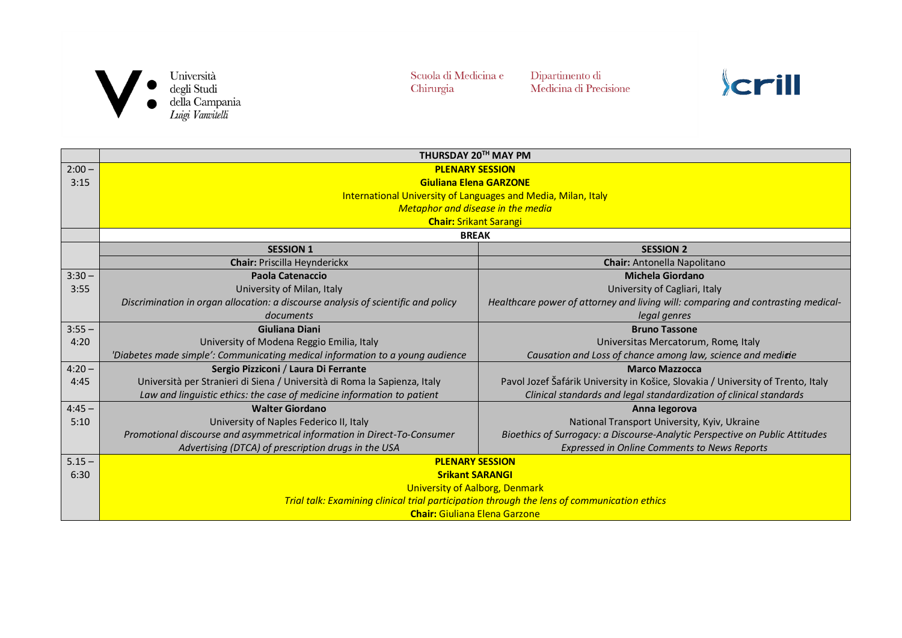

Dipartimento di<br>Medicina di Precisione

|          | THURSDAY 20TH MAY PM                                                                        |                                                                                  |  |
|----------|---------------------------------------------------------------------------------------------|----------------------------------------------------------------------------------|--|
| $2:00 -$ | <b>PLENARY SESSION</b>                                                                      |                                                                                  |  |
| 3:15     | <b>Giuliana Elena GARZONE</b>                                                               |                                                                                  |  |
|          | International University of Languages and Media, Milan, Italy                               |                                                                                  |  |
|          | Metaphor and disease in the media                                                           |                                                                                  |  |
|          | <b>Chair: Srikant Sarangi</b>                                                               |                                                                                  |  |
|          | <b>BREAK</b>                                                                                |                                                                                  |  |
|          | <b>SESSION 1</b>                                                                            | <b>SESSION 2</b>                                                                 |  |
|          | <b>Chair: Priscilla Heynderickx</b>                                                         | <b>Chair:</b> Antonella Napolitano                                               |  |
| $3:30 -$ | <b>Paola Catenaccio</b>                                                                     | <b>Michela Giordano</b>                                                          |  |
| 3:55     | University of Milan, Italy                                                                  | University of Cagliari, Italy                                                    |  |
|          | Discrimination in organ allocation: a discourse analysis of scientific and policy           | Healthcare power of attorney and living will: comparing and contrasting medical- |  |
|          | documents                                                                                   | legal genres                                                                     |  |
| $3:55 -$ | Giuliana Diani                                                                              | <b>Bruno Tassone</b>                                                             |  |
| 4:20     | University of Modena Reggio Emilia, Italy                                                   | Universitas Mercatorum, Rome, Italy                                              |  |
|          | 'Diabetes made simple': Communicating medical information to a young audience               | Causation and Loss of chance among law, science and medicie                      |  |
| $4:20 -$ | Sergio Pizziconi / Laura Di Ferrante                                                        | <b>Marco Mazzocca</b>                                                            |  |
| 4:45     | Università per Stranieri di Siena / Università di Roma la Sapienza, Italy                   | Pavol Jozef Šafárik University in Košice, Slovakia / University of Trento, Italy |  |
|          | Law and linguistic ethics: the case of medicine information to patient                      | Clinical standards and legal standardization of clinical standards               |  |
| $4:45 -$ | <b>Walter Giordano</b>                                                                      | Anna legorova                                                                    |  |
| 5:10     | University of Naples Federico II, Italy                                                     | National Transport University, Kyiv, Ukraine                                     |  |
|          | Promotional discourse and asymmetrical information in Direct-To-Consumer                    | Bioethics of Surrogacy: a Discourse-Analytic Perspective on Public Attitudes     |  |
|          | Advertising (DTCA) of prescription drugs in the USA                                         | <b>Expressed in Online Comments to News Reports</b>                              |  |
| $5.15 -$ | <b>PLENARY SESSION</b>                                                                      |                                                                                  |  |
| 6:30     | <b>Srikant SARANGI</b>                                                                      |                                                                                  |  |
|          | <b>University of Aalborg, Denmark</b>                                                       |                                                                                  |  |
|          | Trial talk: Examining clinical trial participation through the lens of communication ethics |                                                                                  |  |
|          | <b>Chair: Giuliana Elena Garzone</b>                                                        |                                                                                  |  |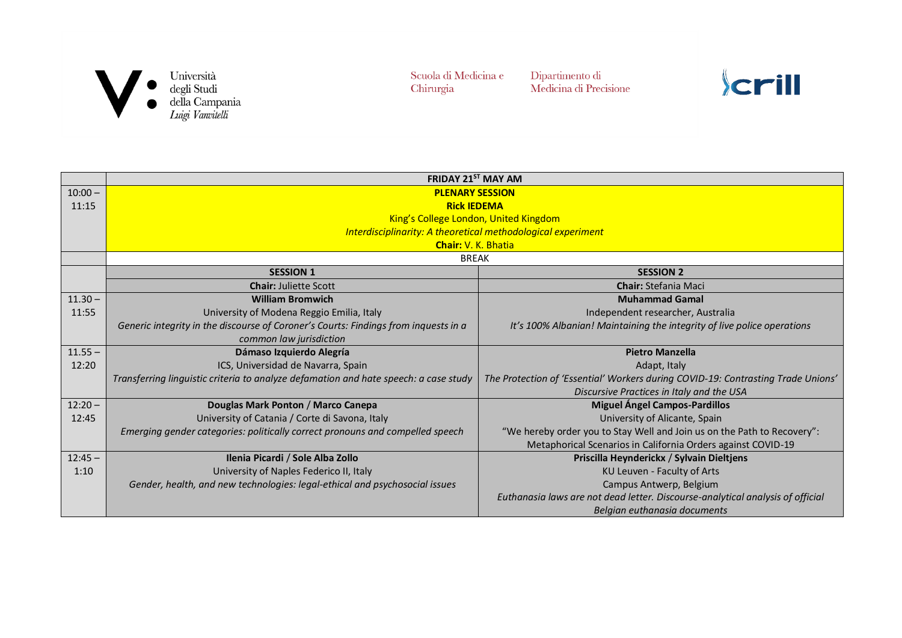

Dipartimento di<br>Medicina di Precisione

|           | <b>FRIDAY 21<sup>ST</sup> MAY AM</b>                                                 |                                                                                  |
|-----------|--------------------------------------------------------------------------------------|----------------------------------------------------------------------------------|
| $10:00 -$ | <b>PLENARY SESSION</b>                                                               |                                                                                  |
| 11:15     | <b>Rick IEDEMA</b>                                                                   |                                                                                  |
|           | King's College London, United Kingdom                                                |                                                                                  |
|           | Interdisciplinarity: A theoretical methodological experiment                         |                                                                                  |
|           | <b>Chair: V. K. Bhatia</b>                                                           |                                                                                  |
|           | <b>BREAK</b>                                                                         |                                                                                  |
|           | <b>SESSION 1</b>                                                                     | <b>SESSION 2</b>                                                                 |
|           | <b>Chair: Juliette Scott</b>                                                         | <b>Chair: Stefania Maci</b>                                                      |
| $11.30 -$ | <b>William Bromwich</b>                                                              | <b>Muhammad Gamal</b>                                                            |
| 11:55     | University of Modena Reggio Emilia, Italy                                            | Independent researcher, Australia                                                |
|           | Generic integrity in the discourse of Coroner's Courts: Findings from inquests in a  | It's 100% Albanian! Maintaining the integrity of live police operations          |
|           | common law jurisdiction                                                              |                                                                                  |
| $11.55 -$ | Dámaso Izquierdo Alegría                                                             | <b>Pietro Manzella</b>                                                           |
| 12:20     | ICS, Universidad de Navarra, Spain                                                   | Adapt, Italy                                                                     |
|           | Transferring linguistic criteria to analyze defamation and hate speech: a case study | The Protection of 'Essential' Workers during COVID-19: Contrasting Trade Unions' |
|           |                                                                                      | Discursive Practices in Italy and the USA                                        |
| $12:20 -$ | Douglas Mark Ponton / Marco Canepa                                                   | <b>Miguel Ángel Campos-Pardillos</b>                                             |
| 12:45     | University of Catania / Corte di Savona, Italy                                       | University of Alicante, Spain                                                    |
|           | Emerging gender categories: politically correct pronouns and compelled speech        | "We hereby order you to Stay Well and Join us on the Path to Recovery":          |
|           |                                                                                      | Metaphorical Scenarios in California Orders against COVID-19                     |
| $12:45 -$ | Ilenia Picardi / Sole Alba Zollo                                                     | Priscilla Heynderickx / Sylvain Dieltjens                                        |
| 1:10      | University of Naples Federico II, Italy                                              | KU Leuven - Faculty of Arts                                                      |
|           | Gender, health, and new technologies: legal-ethical and psychosocial issues          | Campus Antwerp, Belgium                                                          |
|           |                                                                                      | Euthanasia laws are not dead letter. Discourse-analytical analysis of official   |
|           |                                                                                      | Belgian euthanasia documents                                                     |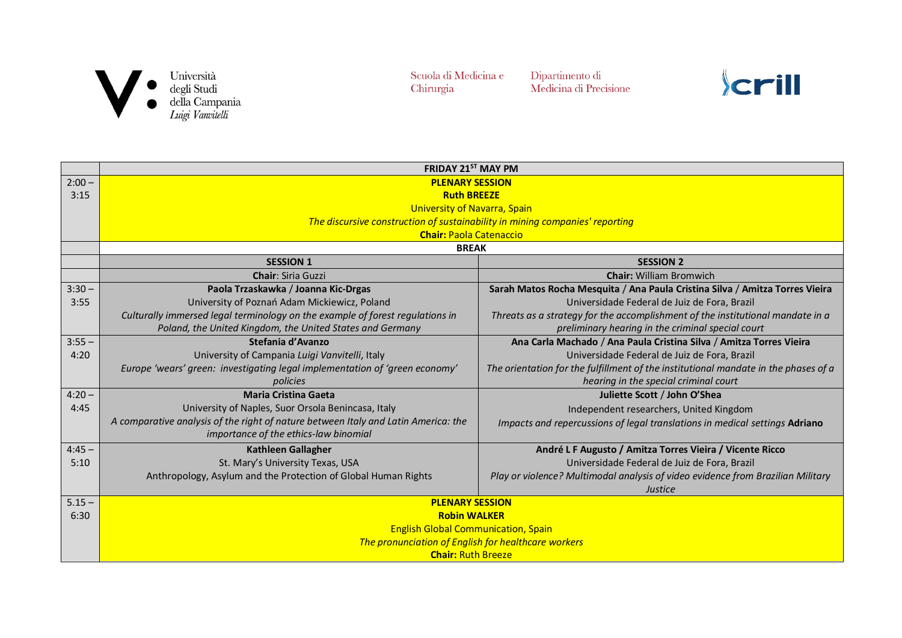

Dipartimento di<br>Medicina di Precisione

|          | FRIDAY 21ST MAY PM                                                                 |                                                                                     |  |
|----------|------------------------------------------------------------------------------------|-------------------------------------------------------------------------------------|--|
| $2:00 -$ | <b>PLENARY SESSION</b>                                                             |                                                                                     |  |
| 3:15     | <b>Ruth BREEZE</b>                                                                 |                                                                                     |  |
|          | <b>University of Navarra, Spain</b>                                                |                                                                                     |  |
|          | The discursive construction of sustainability in mining companies' reporting       |                                                                                     |  |
|          | <b>Chair: Paola Catenaccio</b>                                                     |                                                                                     |  |
|          | <b>BREAK</b>                                                                       |                                                                                     |  |
|          | <b>SESSION 1</b>                                                                   | <b>SESSION 2</b>                                                                    |  |
|          | <b>Chair: Siria Guzzi</b>                                                          | <b>Chair: William Bromwich</b>                                                      |  |
| $3:30 -$ | Paola Trzaskawka / Joanna Kic-Drgas                                                | Sarah Matos Rocha Mesquita / Ana Paula Cristina Silva / Amitza Torres Vieira        |  |
| 3:55     | University of Poznań Adam Mickiewicz, Poland                                       | Universidade Federal de Juiz de Fora, Brazil                                        |  |
|          | Culturally immersed legal terminology on the example of forest regulations in      | Threats as a strategy for the accomplishment of the institutional mandate in a      |  |
|          | Poland, the United Kingdom, the United States and Germany                          | preliminary hearing in the criminal special court                                   |  |
| $3:55 -$ | Stefania d'Avanzo                                                                  | Ana Carla Machado / Ana Paula Cristina Silva / Amitza Torres Vieira                 |  |
| 4:20     | University of Campania Luigi Vanvitelli, Italy                                     | Universidade Federal de Juiz de Fora, Brazil                                        |  |
|          | Europe 'wears' green: investigating legal implementation of 'green economy'        | The orientation for the fulfillment of the institutional mandate in the phases of a |  |
|          | policies                                                                           | hearing in the special criminal court                                               |  |
| $4:20 -$ | <b>Maria Cristina Gaeta</b>                                                        | Juliette Scott / John O'Shea                                                        |  |
| 4:45     | University of Naples, Suor Orsola Benincasa, Italy                                 | Independent researchers, United Kingdom                                             |  |
|          | A comparative analysis of the right of nature between Italy and Latin America: the | Impacts and repercussions of legal translations in medical settings Adriano         |  |
|          | importance of the ethics-law binomial                                              |                                                                                     |  |
| $4:45 -$ | <b>Kathleen Gallagher</b>                                                          | André L F Augusto / Amitza Torres Vieira / Vicente Ricco                            |  |
| 5:10     | St. Mary's University Texas, USA                                                   | Universidade Federal de Juiz de Fora, Brazil                                        |  |
|          | Anthropology, Asylum and the Protection of Global Human Rights                     | Play or violence? Multimodal analysis of video evidence from Brazilian Military     |  |
|          |                                                                                    | <b>Justice</b>                                                                      |  |
| $5.15 -$ | <b>PLENARY SESSION</b>                                                             |                                                                                     |  |
| 6:30     | <b>Robin WALKER</b>                                                                |                                                                                     |  |
|          | <b>English Global Communication, Spain</b>                                         |                                                                                     |  |
|          | The pronunciation of English for healthcare workers                                |                                                                                     |  |
|          | <b>Chair: Ruth Breeze</b>                                                          |                                                                                     |  |